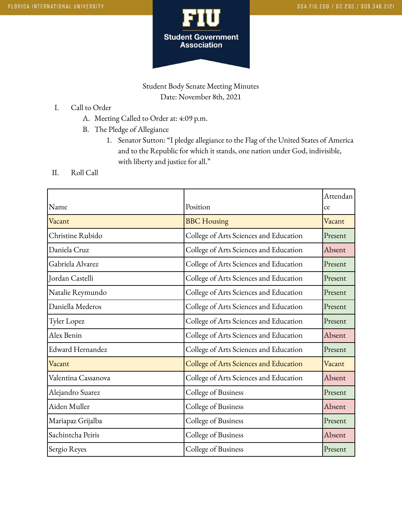

Student Body Senate Meeting Minutes Date: November 8th, 2021

- I. Call to Order
	- A. Meeting Called to Order at: 4:09 p.m.
	- B. The Pledge of Allegiance
		- 1. Senator Sutton: "I pledge allegiance to the Flag of the United States of America and to the Republic for which it stands, one nation under God, indivisible, with liberty and justice for all."
- II. Roll Call

|                     |                                        | Attendan |
|---------------------|----------------------------------------|----------|
| Name                | Position                               | ce       |
| Vacant              | <b>BBC</b> Housing                     | Vacant   |
| Christine Rubido    | College of Arts Sciences and Education | Present  |
| Daniela Cruz        | College of Arts Sciences and Education | Absent   |
| Gabriela Alvarez    | College of Arts Sciences and Education | Present  |
| Jordan Castelli     | College of Arts Sciences and Education | Present  |
| Natalie Reymundo    | College of Arts Sciences and Education | Present  |
| Daniella Mederos    | College of Arts Sciences and Education | Present  |
| <b>Tyler Lopez</b>  | College of Arts Sciences and Education | Present  |
| Alex Benin          | College of Arts Sciences and Education | Absent   |
| Edward Hernandez    | College of Arts Sciences and Education | Present  |
| Vacant              | College of Arts Sciences and Education | Vacant   |
| Valentina Cassanova | College of Arts Sciences and Education | Absent   |
| Alejandro Suarez    | College of Business                    | Present  |
| Aiden Muller        | College of Business                    | Absent   |
| Mariapaz Grijalba   | College of Business                    | Present  |
| Sachintcha Peiris   | College of Business                    | Absent   |
| Sergio Reyes        | College of Business                    | Present  |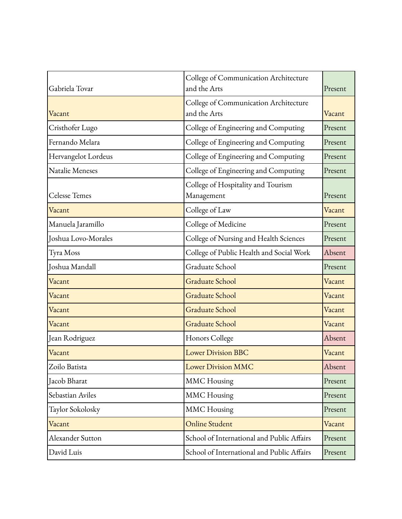| Gabriela Tovar       | College of Communication Architecture<br>and the Arts | Present |
|----------------------|-------------------------------------------------------|---------|
| Vacant               | College of Communication Architecture<br>and the Arts | Vacant  |
| Cristhofer Lugo      | College of Engineering and Computing                  | Present |
| Fernando Melara      | College of Engineering and Computing                  | Present |
| Hervangelot Lordeus  | College of Engineering and Computing                  | Present |
| Natalie Meneses      | College of Engineering and Computing                  | Present |
| <b>Celesse Temes</b> | College of Hospitality and Tourism<br>Management      | Present |
| Vacant               | College of Law                                        | Vacant  |
| Manuela Jaramillo    | College of Medicine                                   | Present |
| Joshua Lovo-Morales  | College of Nursing and Health Sciences                | Present |
| Tyra Moss            | College of Public Health and Social Work              | Absent  |
| Joshua Mandall       | Graduate School                                       | Present |
| Vacant               | <b>Graduate School</b>                                | Vacant  |
| Vacant               | <b>Graduate School</b>                                | Vacant  |
| Vacant               | Graduate School                                       | Vacant  |
| Vacant               | Graduate School                                       | Vacant  |
| Jean Rodriguez       | Honors College                                        | Absent  |
| Vacant               | <b>Lower Division BBC</b>                             | Vacant  |
| Zoilo Batista        | <b>Lower Division MMC</b>                             | Absent  |
| Iacob Bharat         | <b>MMC</b> Housing                                    | Present |
| Sebastian Aviles     | <b>MMC</b> Housing                                    | Present |
| Taylor Sokolosky     | <b>MMC</b> Housing                                    | Present |
| Vacant               | <b>Online Student</b>                                 | Vacant  |
| Alexander Sutton     | School of International and Public Affairs            | Present |
| David Luis           | School of International and Public Affairs            | Present |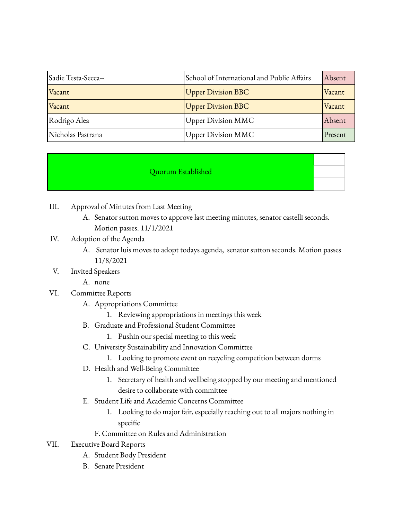| Sadie Testa-Secca-- | School of International and Public Affairs | Absent  |
|---------------------|--------------------------------------------|---------|
| Vacant              | <b>Upper Division BBC</b>                  | Vacant  |
| Vacant              | <b>Upper Division BBC</b>                  | Vacant  |
| Rodrigo Alea        | <b>Upper Division MMC</b>                  | Absent  |
| Nicholas Pastrana   | <b>Upper Division MMC</b>                  | Present |

## Quorum Established

- III. Approval of Minutes from Last Meeting
	- A. Senator sutton moves to approve last meeting minutes, senator castelli seconds. Motion passes. 11/1/2021
- IV. Adoption of the Agenda
	- A. Senator luis moves to adopt todays agenda, senator sutton seconds. Motion passes 11/8/2021
- V. Invited Speakers
	- A. none
- VI. Committee Reports
	- A. Appropriations Committee
		- 1. Reviewing appropriations in meetings this week
	- B. Graduate and Professional Student Committee
		- 1. Pushin our special meeting to this week
	- C. University Sustainability and Innovation Committee
		- 1. Looking to promote event on recycling competition between dorms
	- D. Health and Well-Being Committee
		- 1. Secretary of health and wellbeing stopped by our meeting and mentioned desire to collaborate with committee
	- E. Student Life and Academic Concerns Committee
		- 1. Looking to do major fair, especially reaching out to all majors nothing in specific
		- F. Committee on Rules and Administration
- VII. Executive Board Reports
	- A. Student Body President
	- B. Senate President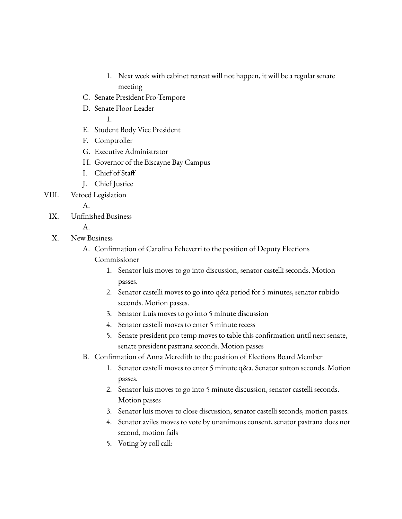- 1. Next week with cabinet retreat will not happen, it will be a regular senate meeting
- C. Senate President Pro-Tempore
- D. Senate Floor Leader

1.

- E. Student Body Vice President
- F. Comptroller
- G. Executive Administrator
- H. Governor of the Biscayne Bay Campus
- I. Chief of Staff
- J. Chief Justice

VIII. Vetoed Legislation

A.

IX. Unfinished Business

A.

- X. New Business
	- A. Confirmation of Carolina Echeverri to the position of Deputy Elections
		- Commissioner
			- 1. Senator luis moves to go into discussion, senator castelli seconds. Motion passes.
			- 2. Senator castelli moves to go into q&a period for 5 minutes, senator rubido seconds. Motion passes.
			- 3. Senator Luis moves to go into 5 minute discussion
			- 4. Senator castelli moves to enter 5 minute recess
			- 5. Senate president pro temp moves to table this confirmation until next senate, senate president pastrana seconds. Motion passes
	- B. Confirmation of Anna Meredith to the position of Elections Board Member
		- 1. Senator castelli moves to enter 5 minute q&a. Senator sutton seconds. Motion passes.
		- 2. Senator luis moves to go into 5 minute discussion, senator castelli seconds. Motion passes
		- 3. Senator luis moves to close discussion, senator castelli seconds, motion passes.
		- 4. Senator aviles moves to vote by unanimous consent, senator pastrana does not second, motion fails
		- 5. Voting by roll call: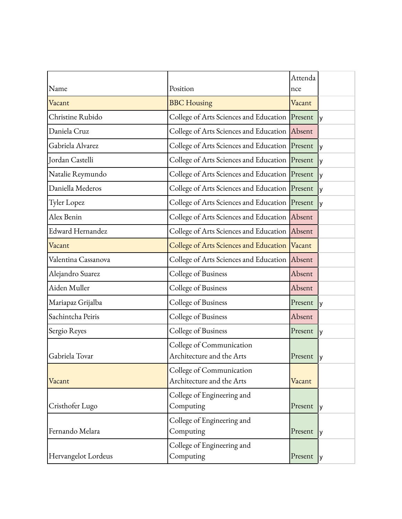| Name                    | Position                                              | Attenda<br>nce |     |
|-------------------------|-------------------------------------------------------|----------------|-----|
| Vacant                  | <b>BBC</b> Housing                                    | Vacant         |     |
| Christine Rubido        | College of Arts Sciences and Education Present        |                | I٧  |
| Daniela Cruz            | College of Arts Sciences and Education Absent         |                |     |
| Gabriela Alvarez        | College of Arts Sciences and Education Present        |                | l y |
| Jordan Castelli         | College of Arts Sciences and Education Present        |                | Iу  |
| Natalie Reymundo        | College of Arts Sciences and Education Present        |                | lу  |
| Daniella Mederos        | College of Arts Sciences and Education Present        |                | lу  |
| Tyler Lopez             | College of Arts Sciences and Education Present        |                | Iу  |
| Alex Benin              | College of Arts Sciences and Education Absent         |                |     |
| <b>Edward Hernandez</b> | College of Arts Sciences and Education Absent         |                |     |
| Vacant                  | College of Arts Sciences and Education  Vacant        |                |     |
| Valentina Cassanova     | College of Arts Sciences and Education Absent         |                |     |
| Alejandro Suarez        | College of Business                                   | Absent         |     |
| Aiden Muller            | College of Business                                   | Absent         |     |
| Mariapaz Grijalba       | College of Business                                   | Present        | Iу  |
| Sachintcha Peiris       | College of Business                                   | Absent         |     |
| Sergio Reyes            | College of Business                                   | Present        | y   |
| Gabriela Tovar          | College of Communication<br>Architecture and the Arts | Present        | ly  |
| Vacant                  | College of Communication<br>Architecture and the Arts | Vacant         |     |
| Cristhofer Lugo         | College of Engineering and<br>Computing               | Present        | l y |
| Fernando Melara         | College of Engineering and<br>Computing               | Present        | IУ  |
| Hervangelot Lordeus     | College of Engineering and<br>Computing               | Present        | IУ  |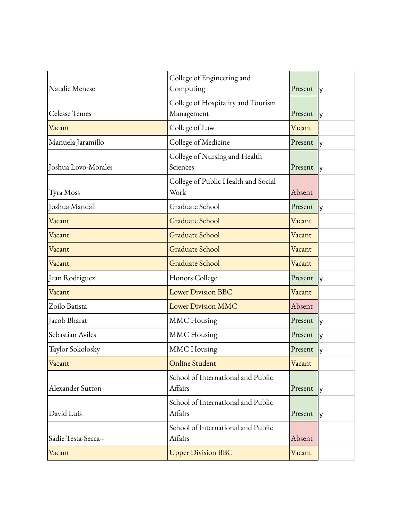| Natalie Menese       | College of Engineering and<br>Computing          | Present | I٧                     |
|----------------------|--------------------------------------------------|---------|------------------------|
|                      |                                                  |         |                        |
| <b>Celesse Temes</b> | College of Hospitality and Tourism<br>Management | Present | I٧                     |
| Vacant               | College of Law                                   | Vacant  |                        |
| Manuela Jaramillo    | College of Medicine                              | Present | l y                    |
| Joshua Lovo-Morales  | College of Nursing and Health<br>Sciences        | Present | I٧                     |
| Tyra Moss            | College of Public Health and Social<br>Work      | Absent  |                        |
| Joshua Mandall       | Graduate School                                  | Present | I٧                     |
| Vacant               | Graduate School                                  | Vacant  |                        |
| Vacant               | <b>Graduate School</b>                           | Vacant  |                        |
| Vacant               | Graduate School                                  | Vacant  |                        |
| Vacant               | <b>Graduate School</b>                           | Vacant  |                        |
| Jean Rodriguez       | Honors College                                   | Present | $\mathsf{I}\mathsf{v}$ |
| Vacant               | <b>Lower Division BBC</b>                        | Vacant  |                        |
| Zoilo Batista        | <b>Lower Division MMC</b>                        | Absent  |                        |
| Jacob Bharat         | <b>MMC</b> Housing                               | Present | I٧                     |
| Sebastian Aviles     | <b>MMC</b> Housing                               | Present | l y                    |
| Taylor Sokolosky     | <b>MMC</b> Housing                               | Present | l٧                     |
| Vacant               | <b>Online Student</b>                            | Vacant  |                        |
| Alexander Sutton     | School of International and Public<br>Affairs    | Present | l y                    |
| David Luis           | School of International and Public<br>Affairs    | Present | l y                    |
| Sadie Testa-Secca--  | School of International and Public<br>Affairs    | Absent  |                        |
| Vacant               | <b>Upper Division BBC</b>                        | Vacant  |                        |